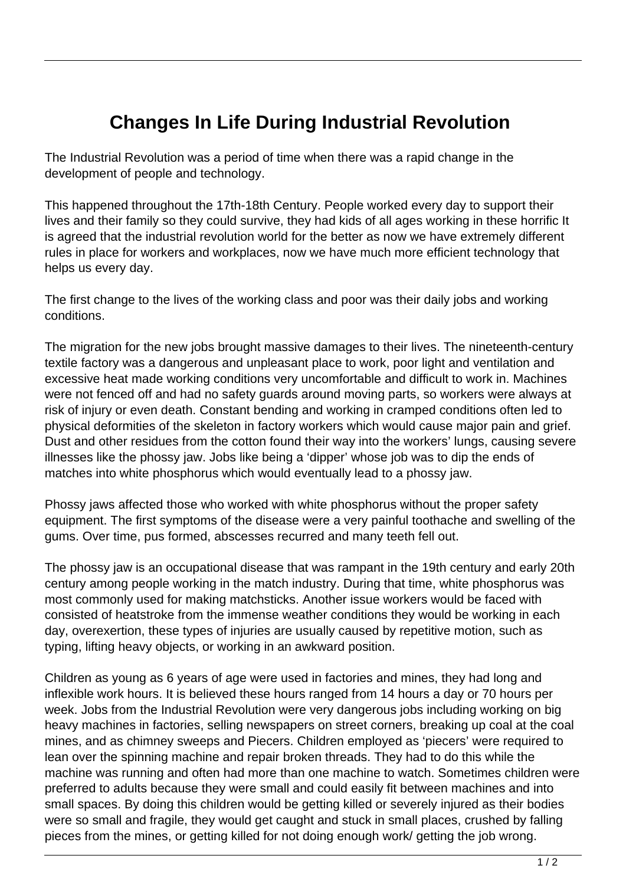## **Changes In Life During Industrial Revolution**

The Industrial Revolution was a period of time when there was a rapid change in the development of people and technology.

This happened throughout the 17th-18th Century. People worked every day to support their lives and their family so they could survive, they had kids of all ages working in these horrific It is agreed that the industrial revolution world for the better as now we have extremely different rules in place for workers and workplaces, now we have much more efficient technology that helps us every day.

The first change to the lives of the working class and poor was their daily jobs and working conditions.

The migration for the new jobs brought massive damages to their lives. The nineteenth-century textile factory was a dangerous and unpleasant place to work, poor light and ventilation and excessive heat made working conditions very uncomfortable and difficult to work in. Machines were not fenced off and had no safety guards around moving parts, so workers were always at risk of injury or even death. Constant bending and working in cramped conditions often led to physical deformities of the skeleton in factory workers which would cause major pain and grief. Dust and other residues from the cotton found their way into the workers' lungs, causing severe illnesses like the phossy jaw. Jobs like being a 'dipper' whose job was to dip the ends of matches into white phosphorus which would eventually lead to a phossy jaw.

Phossy jaws affected those who worked with white phosphorus without the proper safety equipment. The first symptoms of the disease were a very painful toothache and swelling of the gums. Over time, pus formed, abscesses recurred and many teeth fell out.

The phossy jaw is an occupational disease that was rampant in the 19th century and early 20th century among people working in the match industry. During that time, white phosphorus was most commonly used for making matchsticks. Another issue workers would be faced with consisted of heatstroke from the immense weather conditions they would be working in each day, overexertion, these types of injuries are usually caused by repetitive motion, such as typing, lifting heavy objects, or working in an awkward position.

Children as young as 6 years of age were used in factories and mines, they had long and inflexible work hours. It is believed these hours ranged from 14 hours a day or 70 hours per week. Jobs from the Industrial Revolution were very dangerous jobs including working on big heavy machines in factories, selling newspapers on street corners, breaking up coal at the coal mines, and as chimney sweeps and Piecers. Children employed as 'piecers' were required to lean over the spinning machine and repair broken threads. They had to do this while the machine was running and often had more than one machine to watch. Sometimes children were preferred to adults because they were small and could easily fit between machines and into small spaces. By doing this children would be getting killed or severely injured as their bodies were so small and fragile, they would get caught and stuck in small places, crushed by falling pieces from the mines, or getting killed for not doing enough work/ getting the job wrong.